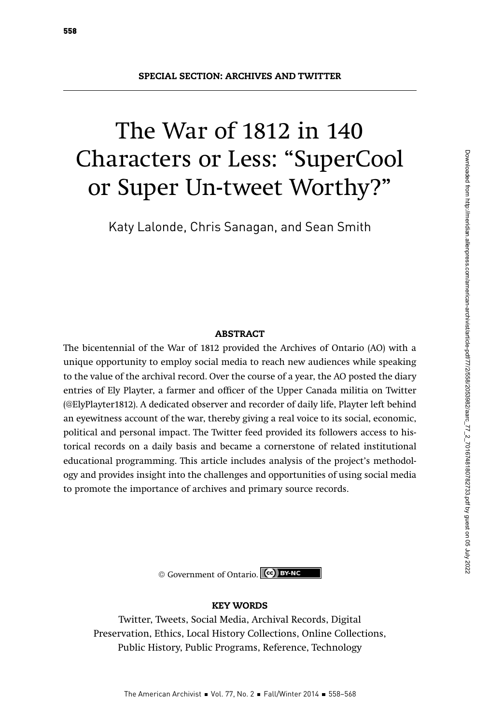# The War of 1812 in 140 Characters or Less: "SuperCool or Super Un-tweet Worthy?"

Katy Lalonde, Chris Sanagan, and Sean Smith

# ABSTRACT

The bicentennial of the War of 1812 provided the Archives of Ontario (AO) with a unique opportunity to employ social media to reach new audiences while speaking to the value of the archival record. Over the course of a year, the AO posted the diary entries of Ely Playter, a farmer and officer of the Upper Canada militia on Twitter (@ElyPlayter1812). A dedicated observer and recorder of daily life, Playter left behind an eyewitness account of the war, thereby giving a real voice to its social, economic, political and personal impact. The Twitter feed provided its followers access to historical records on a daily basis and became a cornerstone of related institutional educational programming. This article includes analysis of the project's methodology and provides insight into the challenges and opportunities of using social media to promote the importance of archives and primary source records.

© Government of Ontario. **(cc) BY-NC** 

#### KEY WORDS

Twitter, Tweets, Social Media, Archival Records, Digital Preservation, Ethics, Local History Collections, Online Collections, Public History, Public Programs, Reference, Technology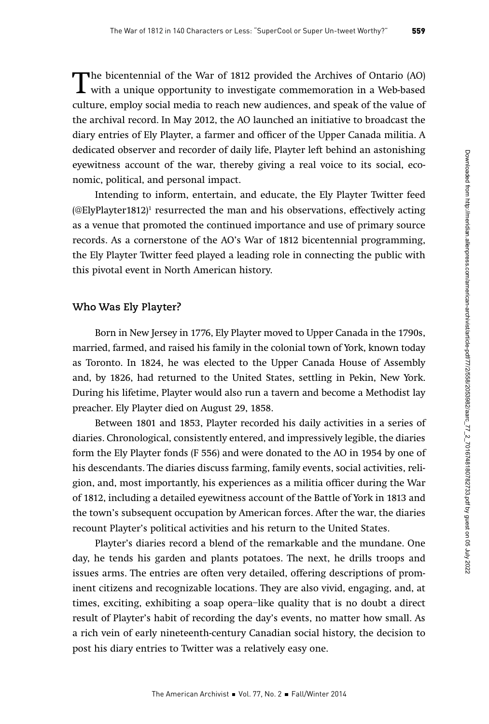The bicentennial of the War of 1812 provided the Archives of Ontario (AO) with a unique opportunity to investigate commemoration in a Web-based culture, employ social media to reach new audiences, and speak of the value of the archival record. In May 2012, the AO launched an initiative to broadcast the diary entries of Ely Playter, a farmer and officer of the Upper Canada militia. A dedicated observer and recorder of daily life, Playter left behind an astonishing eyewitness account of the war, thereby giving a real voice to its social, economic, political, and personal impact.

Intending to inform, entertain, and educate, the Ely Playter Twitter feed (@ElyPlayter1812) $^{\rm 1}$  resurrected the man and his observations, effectively acting as a venue that promoted the continued importance and use of primary source records. As a cornerstone of the AO's War of 1812 bicentennial programming, the Ely Playter Twitter feed played a leading role in connecting the public with this pivotal event in North American history.

## **Who Was Ely Playter?**

Born in New Jersey in 1776, Ely Playter moved to Upper Canada in the 1790s, married, farmed, and raised his family in the colonial town of York, known today as Toronto. In 1824, he was elected to the Upper Canada House of Assembly and, by 1826, had returned to the United States, settling in Pekin, New York. During his lifetime, Playter would also run a tavern and become a Methodist lay preacher. Ely Playter died on August 29, 1858.

Between 1801 and 1853, Playter recorded his daily activities in a series of diaries. Chronological, consistently entered, and impressively legible, the diaries form the Ely Playter fonds (F 556) and were donated to the AO in 1954 by one of his descendants. The diaries discuss farming, family events, social activities, religion, and, most importantly, his experiences as a militia officer during the War of 1812, including a detailed eyewitness account of the Battle of York in 1813 and the town's subsequent occupation by American forces. After the war, the diaries recount Playter's political activities and his return to the United States.

Playter's diaries record a blend of the remarkable and the mundane. One day, he tends his garden and plants potatoes. The next, he drills troops and issues arms. The entries are often very detailed, offering descriptions of prominent citizens and recognizable locations. They are also vivid, engaging, and, at times, exciting, exhibiting a soap opera–like quality that is no doubt a direct result of Playter's habit of recording the day's events, no matter how small. As a rich vein of early nineteenth-century Canadian social history, the decision to post his diary entries to Twitter was a relatively easy one.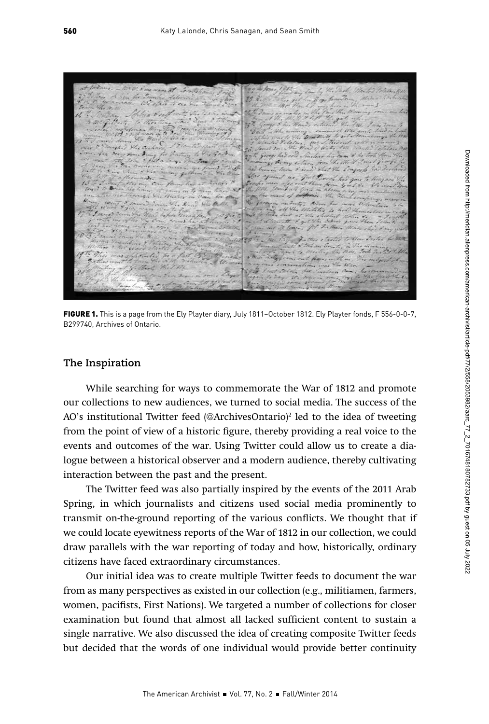FIGURE 1. This is a page from the Ely Playter diary, July 1811-October 1812. Ely Playter fonds, F 556-0-0-7, B299740, Archives of Ontario.

#### **The Inspiration**

While searching for ways to commemorate the War of 1812 and promote our collections to new audiences, we turned to social media. The success of the AO's institutional Twitter feed (@ArchivesOntario)<sup>2</sup> led to the idea of tweeting from the point of view of a historic figure, thereby providing a real voice to the events and outcomes of the war. Using Twitter could allow us to create a dialogue between a historical observer and a modern audience, thereby cultivating interaction between the past and the present.

The Twitter feed was also partially inspired by the events of the 2011 Arab Spring, in which journalists and citizens used social media prominently to transmit on-the-ground reporting of the various conflicts. We thought that if we could locate eyewitness reports of the War of 1812 in our collection, we could draw parallels with the war reporting of today and how, historically, ordinary citizens have faced extraordinary circumstances.

Our initial idea was to create multiple Twitter feeds to document the war from as many perspectives as existed in our collection (e.g., militiamen, farmers, women, pacifists, First Nations). We targeted a number of collections for closer examination but found that almost all lacked sufficient content to sustain a single narrative. We also discussed the idea of creating composite Twitter feeds but decided that the words of one individual would provide better continuity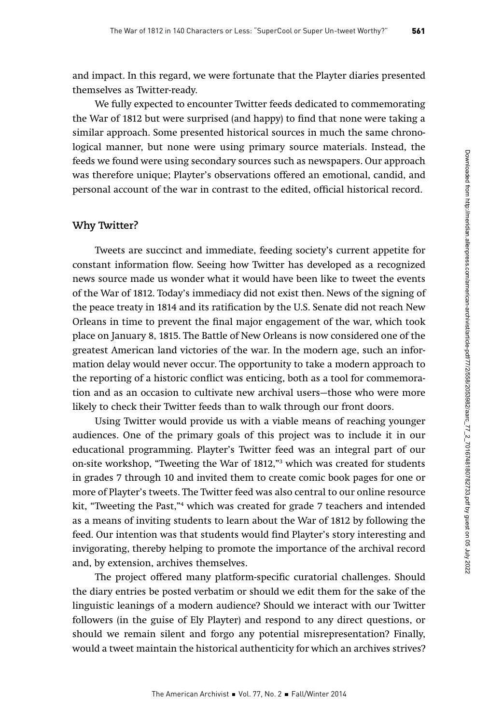and impact. In this regard, we were fortunate that the Playter diaries presented themselves as Twitter-ready.

We fully expected to encounter Twitter feeds dedicated to commemorating the War of 1812 but were surprised (and happy) to find that none were taking a similar approach. Some presented historical sources in much the same chronological manner, but none were using primary source materials. Instead, the feeds we found were using secondary sources such as newspapers. Our approach was therefore unique; Playter's observations offered an emotional, candid, and personal account of the war in contrast to the edited, official historical record.

# **Why Twitter?**

Tweets are succinct and immediate, feeding society's current appetite for constant information flow. Seeing how Twitter has developed as a recognized news source made us wonder what it would have been like to tweet the events of the War of 1812. Today's immediacy did not exist then. News of the signing of the peace treaty in 1814 and its ratification by the U.S. Senate did not reach New Orleans in time to prevent the final major engagement of the war, which took place on January 8, 1815. The Battle of New Orleans is now considered one of the greatest American land victories of the war. In the modern age, such an information delay would never occur. The opportunity to take a modern approach to the reporting of a historic conflict was enticing, both as a tool for commemoration and as an occasion to cultivate new archival users—those who were more likely to check their Twitter feeds than to walk through our front doors.

Using Twitter would provide us with a viable means of reaching younger audiences. One of the primary goals of this project was to include it in our educational programming. Playter's Twitter feed was an integral part of our on-site workshop, "Tweeting the War of 1812,"3 which was created for students in grades 7 through 10 and invited them to create comic book pages for one or more of Playter's tweets. The Twitter feed was also central to our online resource kit, "Tweeting the Past,"4 which was created for grade 7 teachers and intended as a means of inviting students to learn about the War of 1812 by following the feed. Our intention was that students would find Playter's story interesting and invigorating, thereby helping to promote the importance of the archival record and, by extension, archives themselves.

The project offered many platform-specific curatorial challenges. Should the diary entries be posted verbatim or should we edit them for the sake of the linguistic leanings of a modern audience? Should we interact with our Twitter followers (in the guise of Ely Playter) and respond to any direct questions, or should we remain silent and forgo any potential misrepresentation? Finally, would a tweet maintain the historical authenticity for which an archives strives?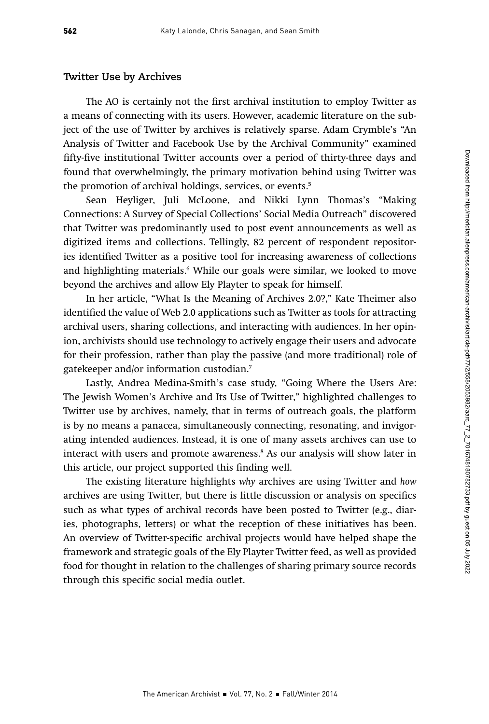#### **Twitter Use by Archives**

The AO is certainly not the first archival institution to employ Twitter as a means of connecting with its users. However, academic literature on the subject of the use of Twitter by archives is relatively sparse. Adam Crymble's "An Analysis of Twitter and Facebook Use by the Archival Community" examined fifty-five institutional Twitter accounts over a period of thirty-three days and found that overwhelmingly, the primary motivation behind using Twitter was the promotion of archival holdings, services, or events.<sup>5</sup>

Sean Heyliger, Juli McLoone, and Nikki Lynn Thomas's "Making Connections: A Survey of Special Collections' Social Media Outreach" discovered that Twitter was predominantly used to post event announcements as well as digitized items and collections. Tellingly, 82 percent of respondent repositories identified Twitter as a positive tool for increasing awareness of collections and highlighting materials.6 While our goals were similar, we looked to move beyond the archives and allow Ely Playter to speak for himself.

In her article, "What Is the Meaning of Archives 2.0?," Kate Theimer also identified the value of Web 2.0 applications such as Twitter as tools for attracting archival users, sharing collections, and interacting with audiences. In her opinion, archivists should use technology to actively engage their users and advocate for their profession, rather than play the passive (and more traditional) role of gatekeeper and/or information custodian.7

Lastly, Andrea Medina-Smith's case study, "Going Where the Users Are: The Jewish Women's Archive and Its Use of Twitter," highlighted challenges to Twitter use by archives, namely, that in terms of outreach goals, the platform is by no means a panacea, simultaneously connecting, resonating, and invigorating intended audiences. Instead, it is one of many assets archives can use to interact with users and promote awareness.8 As our analysis will show later in this article, our project supported this finding well.

The existing literature highlights why archives are using Twitter and how archives are using Twitter, but there is little discussion or analysis on specifics such as what types of archival records have been posted to Twitter (e.g., diaries, photographs, letters) or what the reception of these initiatives has been. An overview of Twitter-specific archival projects would have helped shape the framework and strategic goals of the Ely Playter Twitter feed, as well as provided food for thought in relation to the challenges of sharing primary source records through this specific social media outlet.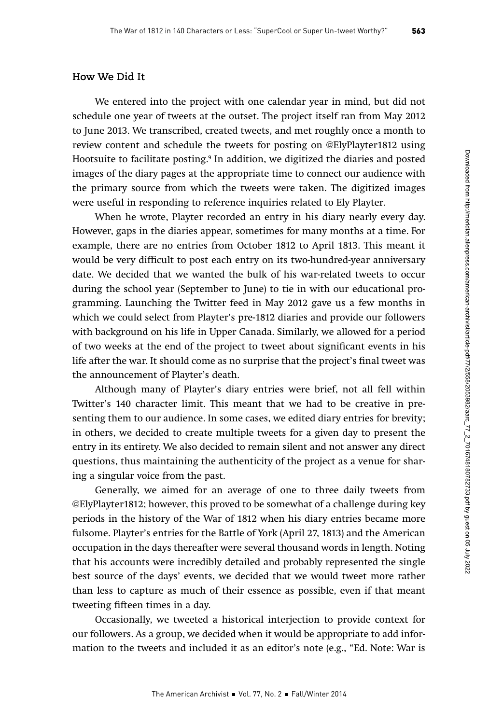# **How We Did It**

We entered into the project with one calendar year in mind, but did not schedule one year of tweets at the outset. The project itself ran from May 2012 to June 2013. We transcribed, created tweets, and met roughly once a month to review content and schedule the tweets for posting on @ElyPlayter1812 using Hootsuite to facilitate posting.9 In addition, we digitized the diaries and posted images of the diary pages at the appropriate time to connect our audience with the primary source from which the tweets were taken. The digitized images were useful in responding to reference inquiries related to Ely Playter.

When he wrote, Playter recorded an entry in his diary nearly every day. However, gaps in the diaries appear, sometimes for many months at a time. For example, there are no entries from October 1812 to April 1813. This meant it would be very difficult to post each entry on its two-hundred-year anniversary date. We decided that we wanted the bulk of his war-related tweets to occur during the school year (September to June) to tie in with our educational programming. Launching the Twitter feed in May 2012 gave us a few months in which we could select from Playter's pre-1812 diaries and provide our followers with background on his life in Upper Canada. Similarly, we allowed for a period of two weeks at the end of the project to tweet about significant events in his life after the war. It should come as no surprise that the project's final tweet was the announcement of Playter's death.

Although many of Playter's diary entries were brief, not all fell within Twitter's 140 character limit. This meant that we had to be creative in presenting them to our audience. In some cases, we edited diary entries for brevity; in others, we decided to create multiple tweets for a given day to present the entry in its entirety. We also decided to remain silent and not answer any direct questions, thus maintaining the authenticity of the project as a venue for sharing a singular voice from the past.

Generally, we aimed for an average of one to three daily tweets from @ElyPlayter1812; however, this proved to be somewhat of a challenge during key periods in the history of the War of 1812 when his diary entries became more fulsome. Playter's entries for the Battle of York (April 27, 1813) and the American occupation in the days thereafter were several thousand words in length. Noting that his accounts were incredibly detailed and probably represented the single best source of the days' events, we decided that we would tweet more rather than less to capture as much of their essence as possible, even if that meant tweeting fifteen times in a day.

Occasionally, we tweeted a historical interjection to provide context for our followers. As a group, we decided when it would be appropriate to add information to the tweets and included it as an editor's note (e.g., "Ed. Note: War is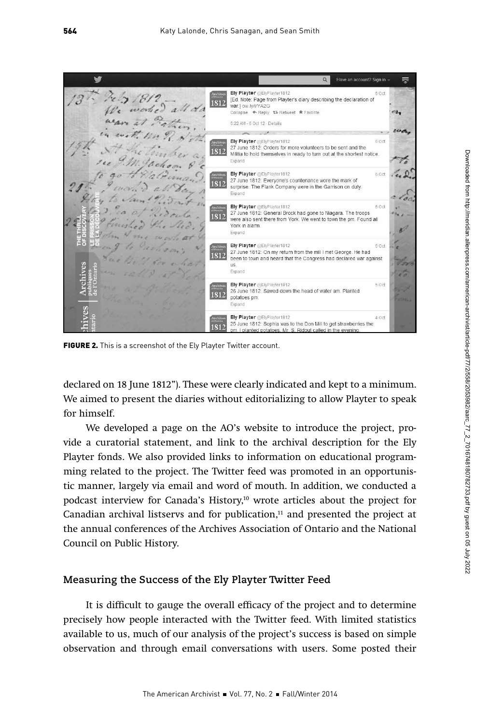

FIGURE 2. This is a screenshot of the Ely Playter Twitter account.

declared on 18 June 1812"). These were clearly indicated and kept to a minimum. We aimed to present the diaries without editorializing to allow Playter to speak for himself.

We developed a page on the AO's website to introduce the project, provide a curatorial statement, and link to the archival description for the Ely Playter fonds. We also provided links to information on educational programming related to the project. The Twitter feed was promoted in an opportunistic manner, largely via email and word of mouth. In addition, we conducted a podcast interview for Canada's History,<sup>10</sup> wrote articles about the project for Canadian archival listservs and for publication, $11$  and presented the project at the annual conferences of the Archives Association of Ontario and the National Council on Public History.

## **Measuring the Success of the Ely Playter Twitter Feed**

It is difficult to gauge the overall efficacy of the project and to determine precisely how people interacted with the Twitter feed. With limited statistics available to us, much of our analysis of the project's success is based on simple observation and through email conversations with users. Some posted their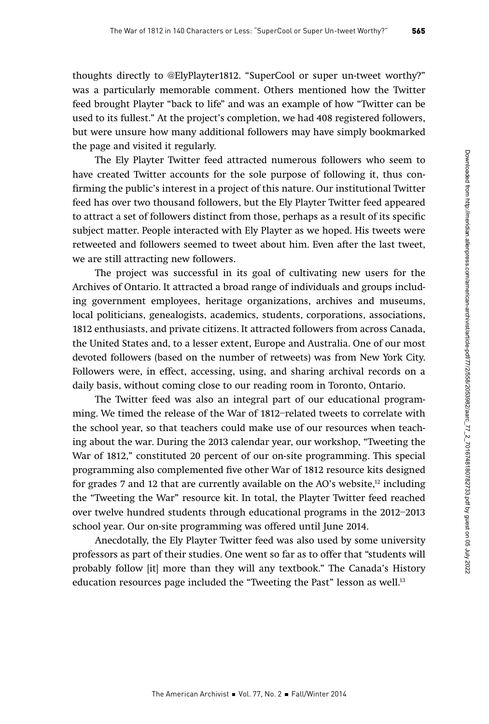thoughts directly to @ElyPlayter1812. "SuperCool or super un-tweet worthy?" was a particularly memorable comment. Others mentioned how the Twitter feed brought Playter "back to life" and was an example of how "Twitter can be used to its fullest." At the project's completion, we had 408 registered followers, but were unsure how many additional followers may have simply bookmarked the page and visited it regularly.

The Ely Playter Twitter feed attracted numerous followers who seem to have created Twitter accounts for the sole purpose of following it, thus confirming the public's interest in a project of this nature. Our institutional Twitter feed has over two thousand followers, but the Ely Playter Twitter feed appeared to attract a set of followers distinct from those, perhaps as a result of its specific subject matter. People interacted with Ely Playter as we hoped. His tweets were retweeted and followers seemed to tweet about him. Even after the last tweet, we are still attracting new followers.

The project was successful in its goal of cultivating new users for the Archives of Ontario. It attracted a broad range of individuals and groups including government employees, heritage organizations, archives and museums, local politicians, genealogists, academics, students, corporations, associations, 1812 enthusiasts, and private citizens. It attracted followers from across Canada, the United States and, to a lesser extent, Europe and Australia. One of our most devoted followers (based on the number of retweets) was from New York City. Followers were, in effect, accessing, using, and sharing archival records on a daily basis, without coming close to our reading room in Toronto, Ontario.

The Twitter feed was also an integral part of our educational programming. We timed the release of the War of 1812–related tweets to correlate with the school year, so that teachers could make use of our resources when teaching about the war. During the 2013 calendar year, our workshop, "Tweeting the War of 1812," constituted 20 percent of our on-site programming. This special programming also complemented five other War of 1812 resource kits designed for grades 7 and 12 that are currently available on the AO's website,<sup>12</sup> including the "Tweeting the War" resource kit. In total, the Playter Twitter feed reached over twelve hundred students through educational programs in the 2012–2013 school year. Our on-site programming was offered until June 2014.

Anecdotally, the Ely Playter Twitter feed was also used by some university professors as part of their studies. One went so far as to offer that "students will probably follow [it] more than they will any textbook." The Canada's History education resources page included the "Tweeting the Past" lesson as well.<sup>13</sup>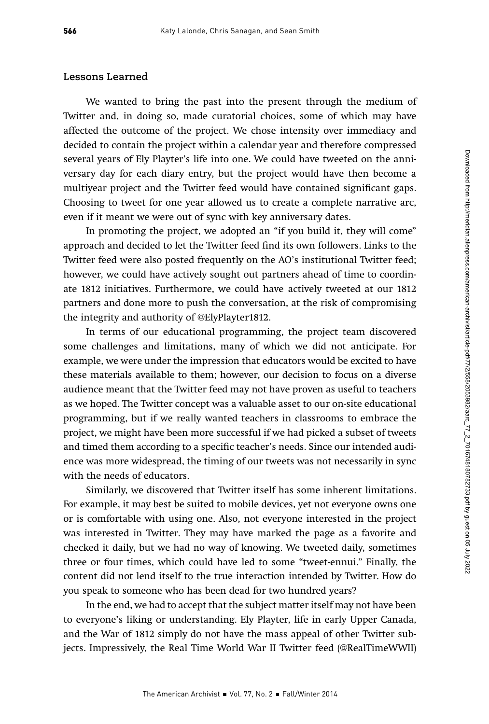#### **Lessons Learned**

We wanted to bring the past into the present through the medium of Twitter and, in doing so, made curatorial choices, some of which may have affected the outcome of the project. We chose intensity over immediacy and decided to contain the project within a calendar year and therefore compressed several years of Ely Playter's life into one. We could have tweeted on the anniversary day for each diary entry, but the project would have then become a multiyear project and the Twitter feed would have contained significant gaps. Choosing to tweet for one year allowed us to create a complete narrative arc, even if it meant we were out of sync with key anniversary dates.

In promoting the project, we adopted an "if you build it, they will come" approach and decided to let the Twitter feed find its own followers. Links to the Twitter feed were also posted frequently on the AO's institutional Twitter feed; however, we could have actively sought out partners ahead of time to coordinate 1812 initiatives. Furthermore, we could have actively tweeted at our 1812 partners and done more to push the conversation, at the risk of compromising the integrity and authority of @ElyPlayter1812.

In terms of our educational programming, the project team discovered some challenges and limitations, many of which we did not anticipate. For example, we were under the impression that educators would be excited to have these materials available to them; however, our decision to focus on a diverse audience meant that the Twitter feed may not have proven as useful to teachers as we hoped. The Twitter concept was a valuable asset to our on-site educational programming, but if we really wanted teachers in classrooms to embrace the project, we might have been more successful if we had picked a subset of tweets and timed them according to a specific teacher's needs. Since our intended audience was more widespread, the timing of our tweets was not necessarily in sync with the needs of educators.

Similarly, we discovered that Twitter itself has some inherent limitations. For example, it may best be suited to mobile devices, yet not everyone owns one or is comfortable with using one. Also, not everyone interested in the project was interested in Twitter. They may have marked the page as a favorite and checked it daily, but we had no way of knowing. We tweeted daily, sometimes three or four times, which could have led to some "tweet-ennui." Finally, the content did not lend itself to the true interaction intended by Twitter. How do you speak to someone who has been dead for two hundred years?

In the end, we had to accept that the subject matter itself may not have been to everyone's liking or understanding. Ely Playter, life in early Upper Canada, and the War of 1812 simply do not have the mass appeal of other Twitter subjects. Impressively, the Real Time World War II Twitter feed (@RealTimeWWII)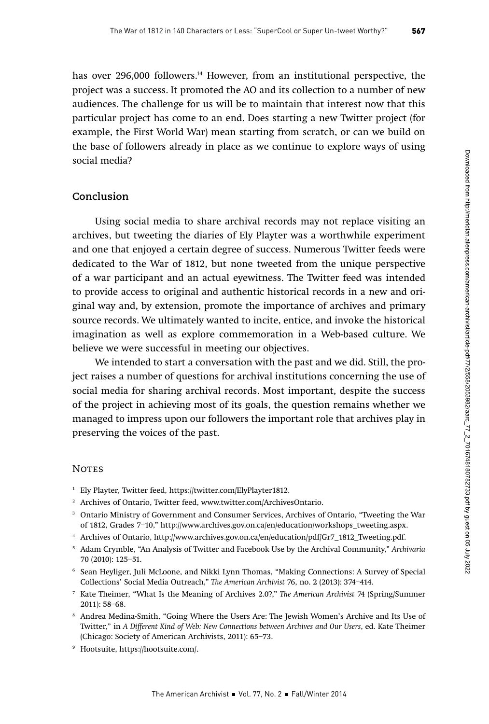has over 296,000 followers.<sup>14</sup> However, from an institutional perspective, the project was a success. It promoted the AO and its collection to a number of new audiences. The challenge for us will be to maintain that interest now that this particular project has come to an end. Does starting a new Twitter project (for example, the First World War) mean starting from scratch, or can we build on the base of followers already in place as we continue to explore ways of using social media?

### **Conclusion**

Using social media to share archival records may not replace visiting an archives, but tweeting the diaries of Ely Playter was a worthwhile experiment and one that enjoyed a certain degree of success. Numerous Twitter feeds were dedicated to the War of 1812, but none tweeted from the unique perspective of a war participant and an actual eyewitness. The Twitter feed was intended to provide access to original and authentic historical records in a new and original way and, by extension, promote the importance of archives and primary source records. We ultimately wanted to incite, entice, and invoke the historical imagination as well as explore commemoration in a Web-based culture. We believe we were successful in meeting our objectives.

We intended to start a conversation with the past and we did. Still, the project raises a number of questions for archival institutions concerning the use of social media for sharing archival records. Most important, despite the success of the project in achieving most of its goals, the question remains whether we managed to impress upon our followers the important role that archives play in preserving the voices of the past.

# **NOTES**

- <sup>1</sup> Ely Playter, Twitter feed, https://twitter.com/ElyPlayter1812.
- <sup>2</sup> Archives of Ontario, Twitter feed, www.twitter.com/ArchivesOntario.
- <sup>3</sup> Ontario Ministry of Government and Consumer Services, Archives of Ontario, "Tweeting the War of 1812, Grades 7–10," http://www.archives.gov.on.ca/en/education/workshops\_tweeting.aspx.
- <sup>4</sup> Archives of Ontario, http://www.archives.gov.on.ca/en/education/pdf/Gr7\_1812\_Tweeting.pdf.
- <sup>5</sup> Adam Crymble, "An Analysis of Twitter and Facebook Use by the Archival Community," Archivaria 70 (2010): 125–51.
- <sup>6</sup> Sean Heyliger, Juli McLoone, and Nikki Lynn Thomas, "Making Connections: A Survey of Special Collections' Social Media Outreach," The American Archivist 76, no. 2 (2013): 374–414.
- <sup>7</sup> Kate Theimer, "What Is the Meaning of Archives 2.0?," The American Archivist 74 (Spring/Summer 2011): 58–68.
- <sup>8</sup> Andrea Medina-Smith, "Going Where the Users Are: The Jewish Women's Archive and Its Use of Twitter," in A Different Kind of Web: New Connections between Archives and Our Users, ed. Kate Theimer (Chicago: Society of American Archivists, 2011): 65–73.
- <sup>9</sup> Hootsuite, https://hootsuite.com/.